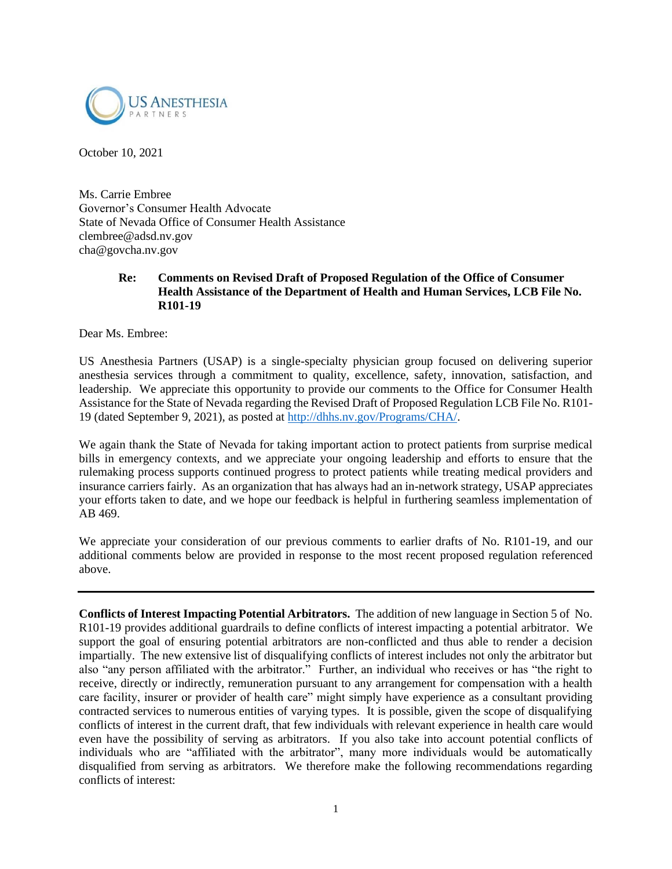

October 10, 2021

Ms. Carrie Embree Governor's Consumer Health Advocate State of Nevada Office of Consumer Health Assistance clembree@adsd.nv.gov cha@govcha.nv.gov

## **Re: Comments on Revised Draft of Proposed Regulation of the Office of Consumer Health Assistance of the Department of Health and Human Services, LCB File No. R101-19**

Dear Ms. Embree:

US Anesthesia Partners (USAP) is a single-specialty physician group focused on delivering superior anesthesia services through a commitment to quality, excellence, safety, innovation, satisfaction, and leadership. We appreciate this opportunity to provide our comments to the Office for Consumer Health Assistance for the State of Nevada regarding the Revised Draft of Proposed Regulation LCB File No. R101- 19 (dated September 9, 2021), as posted at [http://dhhs.nv.gov/Programs/CHA/.](http://dhhs.nv.gov/Programs/CHA/)

We again thank the State of Nevada for taking important action to protect patients from surprise medical bills in emergency contexts, and we appreciate your ongoing leadership and efforts to ensure that the rulemaking process supports continued progress to protect patients while treating medical providers and insurance carriers fairly. As an organization that has always had an in-network strategy, USAP appreciates your efforts taken to date, and we hope our feedback is helpful in furthering seamless implementation of AB 469.

We appreciate your consideration of our previous comments to earlier drafts of No. R101-19, and our additional comments below are provided in response to the most recent proposed regulation referenced above.

**Conflicts of Interest Impacting Potential Arbitrators.** The addition of new language in Section 5 of No. R101-19 provides additional guardrails to define conflicts of interest impacting a potential arbitrator. We support the goal of ensuring potential arbitrators are non-conflicted and thus able to render a decision impartially. The new extensive list of disqualifying conflicts of interest includes not only the arbitrator but also "any person affiliated with the arbitrator." Further, an individual who receives or has "the right to receive, directly or indirectly, remuneration pursuant to any arrangement for compensation with a health care facility, insurer or provider of health care" might simply have experience as a consultant providing contracted services to numerous entities of varying types. It is possible, given the scope of disqualifying conflicts of interest in the current draft, that few individuals with relevant experience in health care would even have the possibility of serving as arbitrators. If you also take into account potential conflicts of individuals who are "affiliated with the arbitrator", many more individuals would be automatically disqualified from serving as arbitrators. We therefore make the following recommendations regarding conflicts of interest: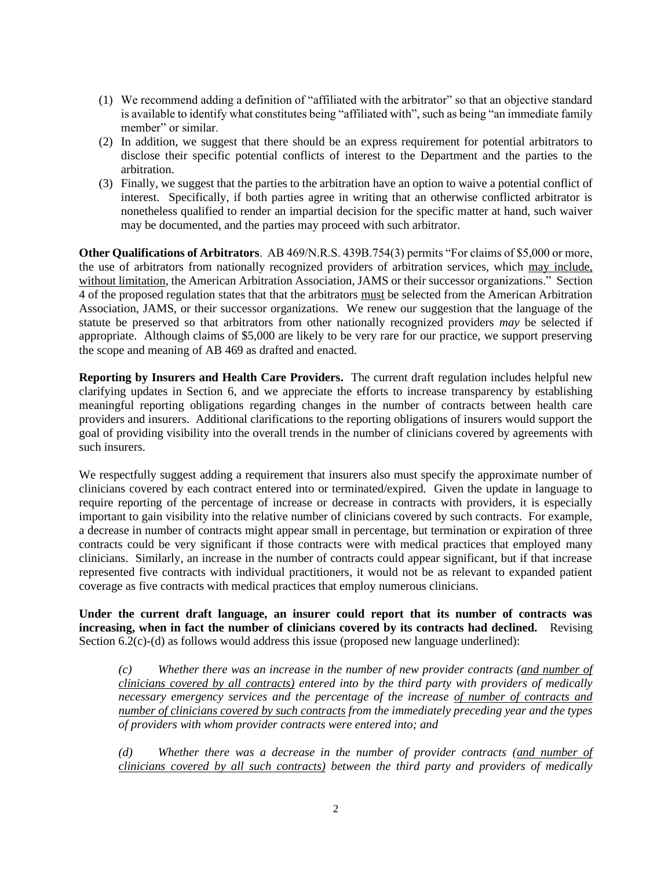- (1) We recommend adding a definition of "affiliated with the arbitrator" so that an objective standard is available to identify what constitutes being "affiliated with", such as being "an immediate family member" or similar.
- (2) In addition, we suggest that there should be an express requirement for potential arbitrators to disclose their specific potential conflicts of interest to the Department and the parties to the arbitration.
- (3) Finally, we suggest that the parties to the arbitration have an option to waive a potential conflict of interest. Specifically, if both parties agree in writing that an otherwise conflicted arbitrator is nonetheless qualified to render an impartial decision for the specific matter at hand, such waiver may be documented, and the parties may proceed with such arbitrator.

**Other Qualifications of Arbitrators**. AB 469/N.R.S. 439B.754(3) permits "For claims of \$5,000 or more, the use of arbitrators from nationally recognized providers of arbitration services, which may include, without limitation, the American Arbitration Association, JAMS or their successor organizations." Section 4 of the proposed regulation states that that the arbitrators must be selected from the American Arbitration Association, JAMS, or their successor organizations. We renew our suggestion that the language of the statute be preserved so that arbitrators from other nationally recognized providers *may* be selected if appropriate. Although claims of \$5,000 are likely to be very rare for our practice, we support preserving the scope and meaning of AB 469 as drafted and enacted.

**Reporting by Insurers and Health Care Providers.** The current draft regulation includes helpful new clarifying updates in Section 6, and we appreciate the efforts to increase transparency by establishing meaningful reporting obligations regarding changes in the number of contracts between health care providers and insurers. Additional clarifications to the reporting obligations of insurers would support the goal of providing visibility into the overall trends in the number of clinicians covered by agreements with such insurers.

We respectfully suggest adding a requirement that insurers also must specify the approximate number of clinicians covered by each contract entered into or terminated/expired. Given the update in language to require reporting of the percentage of increase or decrease in contracts with providers, it is especially important to gain visibility into the relative number of clinicians covered by such contracts. For example, a decrease in number of contracts might appear small in percentage, but termination or expiration of three contracts could be very significant if those contracts were with medical practices that employed many clinicians. Similarly, an increase in the number of contracts could appear significant, but if that increase represented five contracts with individual practitioners, it would not be as relevant to expanded patient coverage as five contracts with medical practices that employ numerous clinicians.

**Under the current draft language, an insurer could report that its number of contracts was increasing, when in fact the number of clinicians covered by its contracts had declined.** Revising Section 6.2(c)-(d) as follows would address this issue (proposed new language underlined):

*(c) Whether there was an increase in the number of new provider contracts (and number of clinicians covered by all contracts) entered into by the third party with providers of medically necessary emergency services and the percentage of the increase of number of contracts and number of clinicians covered by such contracts from the immediately preceding year and the types of providers with whom provider contracts were entered into; and* 

*(d) Whether there was a decrease in the number of provider contracts (and number of clinicians covered by all such contracts) between the third party and providers of medically*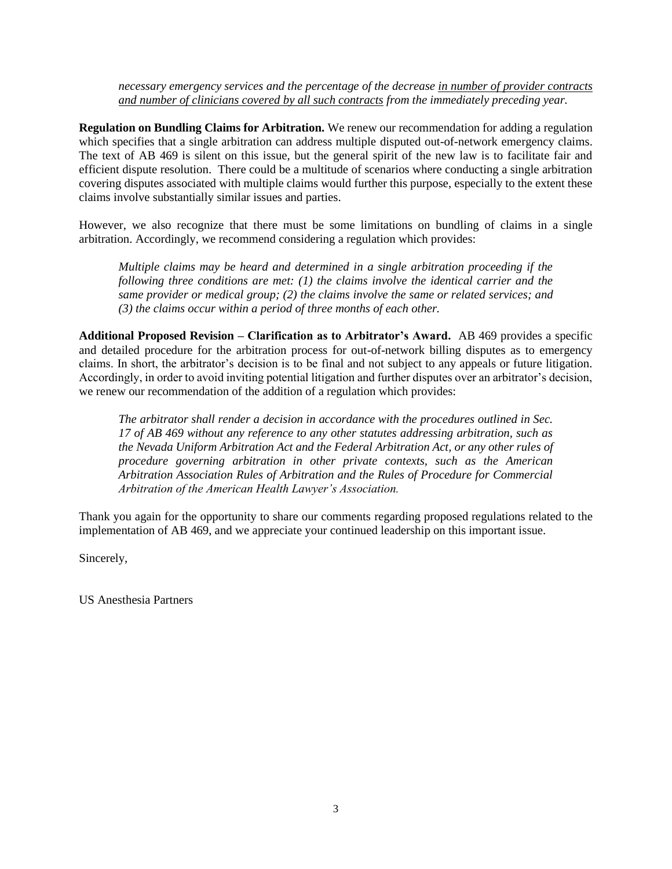*necessary emergency services and the percentage of the decrease in number of provider contracts and number of clinicians covered by all such contracts from the immediately preceding year.* 

**Regulation on Bundling Claims for Arbitration.** We renew our recommendation for adding a regulation which specifies that a single arbitration can address multiple disputed out-of-network emergency claims. The text of AB 469 is silent on this issue, but the general spirit of the new law is to facilitate fair and efficient dispute resolution. There could be a multitude of scenarios where conducting a single arbitration covering disputes associated with multiple claims would further this purpose, especially to the extent these claims involve substantially similar issues and parties.

However, we also recognize that there must be some limitations on bundling of claims in a single arbitration. Accordingly, we recommend considering a regulation which provides:

*Multiple claims may be heard and determined in a single arbitration proceeding if the following three conditions are met: (1) the claims involve the identical carrier and the same provider or medical group; (2) the claims involve the same or related services; and (3) the claims occur within a period of three months of each other.*

**Additional Proposed Revision – Clarification as to Arbitrator's Award.** AB 469 provides a specific and detailed procedure for the arbitration process for out-of-network billing disputes as to emergency claims. In short, the arbitrator's decision is to be final and not subject to any appeals or future litigation. Accordingly, in order to avoid inviting potential litigation and further disputes over an arbitrator's decision, we renew our recommendation of the addition of a regulation which provides:

*The arbitrator shall render a decision in accordance with the procedures outlined in Sec. 17 of AB 469 without any reference to any other statutes addressing arbitration, such as the Nevada Uniform Arbitration Act and the Federal Arbitration Act, or any other rules of procedure governing arbitration in other private contexts, such as the American Arbitration Association Rules of Arbitration and the Rules of Procedure for Commercial Arbitration of the American Health Lawyer's Association.*

Thank you again for the opportunity to share our comments regarding proposed regulations related to the implementation of AB 469, and we appreciate your continued leadership on this important issue.

Sincerely,

US Anesthesia Partners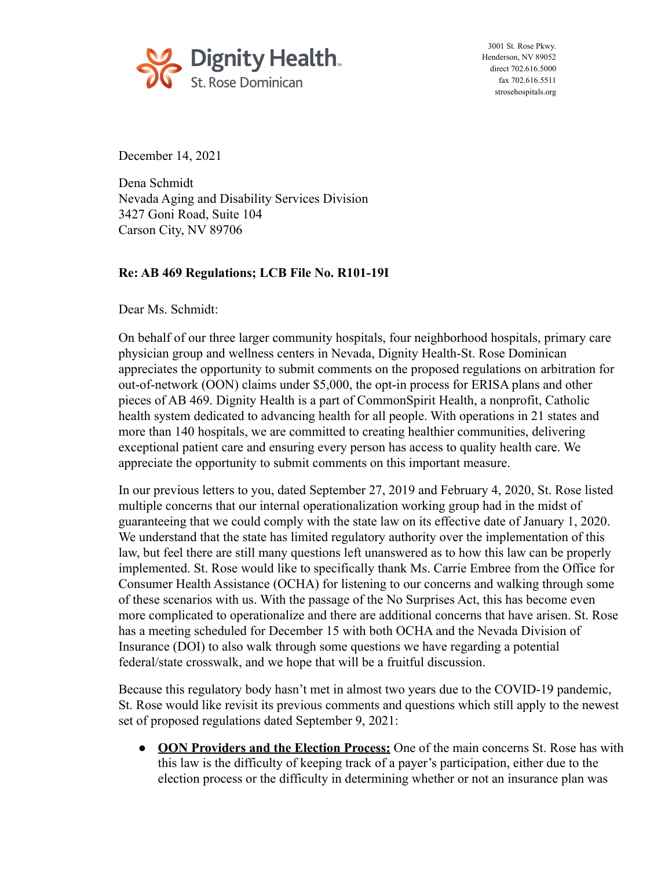

3001 St. Rose Pkwy. Henderson, NV 89052 direct 702.616.5000 fax 702.616.5511 [strosehospitals.org](https://strosehospitals.org)

December 14, 2021

Dena Schmidt Nevada Aging and Disability Services Division 3427 Goni Road, Suite 104 Carson City, NV 89706

## **Re: AB 469 Regulations; LCB File No. R101-19I**

Dear Ms. Schmidt:

On behalf of our three larger community hospitals, four neighborhood hospitals, primary care physician group and wellness centers in Nevada, Dignity Health-St. Rose Dominican appreciates the opportunity to submit comments on the proposed regulations on arbitration for out-of-network (OON) claims under \$5,000, the opt-in process for ERISA plans and other pieces of AB 469. Dignity Health is a part of CommonSpirit Health, a nonprofit, Catholic health system dedicated to advancing health for all people. With operations in 21 states and more than 140 hospitals, we are committed to creating healthier communities, delivering exceptional patient care and ensuring every person has access to quality health care. We appreciate the opportunity to submit comments on this important measure.

In our previous letters to you, dated September 27, 2019 and February 4, 2020, St. Rose listed multiple concerns that our internal operationalization working group had in the midst of guaranteeing that we could comply with the state law on its effective date of January 1, 2020. We understand that the state has limited regulatory authority over the implementation of this law, but feel there are still many questions left unanswered as to how this law can be properly implemented. St. Rose would like to specifically thank Ms. Carrie Embree from the Office for Consumer Health Assistance (OCHA) for listening to our concerns and walking through some of these scenarios with us. With the passage of the No Surprises Act, this has become even more complicated to operationalize and there are additional concerns that have arisen. St. Rose has a meeting scheduled for December 15 with both OCHA and the Nevada Division of Insurance (DOI) to also walk through some questions we have regarding a potential federal/state crosswalk, and we hope that will be a fruitful discussion.

Because this regulatory body hasn't met in almost two years due to the COVID-19 pandemic, St. Rose would like revisit its previous comments and questions which still apply to the newest set of proposed regulations dated September 9, 2021:

● **OON Providers and the Election Process:** One of the main concerns St. Rose has with this law is the difficulty of keeping track of a payer's participation, either due to the election process or the difficulty in determining whether or not an insurance plan was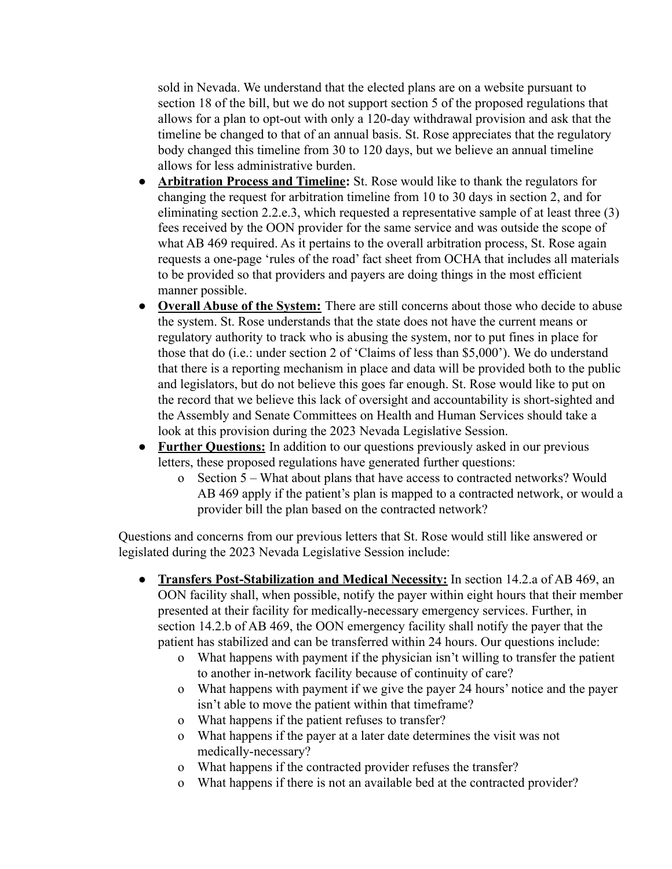sold in Nevada. We understand that the elected plans are on a website pursuant to section 18 of the bill, but we do not support section 5 of the proposed regulations that allows for a plan to opt-out with only a 120-day withdrawal provision and ask that the timeline be changed to that of an annual basis. St. Rose appreciates that the regulatory body changed this timeline from 30 to 120 days, but we believe an annual timeline allows for less administrative burden.

- **● Arbitration Process and Timeline:** St. Rose would like to thank the regulators for changing the request for arbitration timeline from 10 to 30 days in section 2, and for eliminating section 2.2.e.3, which requested a representative sample of at least three (3) fees received by the OON provider for the same service and was outside the scope of what AB 469 required. As it pertains to the overall arbitration process, St. Rose again requests a one-page 'rules of the road' fact sheet from OCHA that includes all materials to be provided so that providers and payers are doing things in the most efficient manner possible.
- **Overall Abuse of the System:** There are still concerns about those who decide to abuse the system. St. Rose understands that the state does not have the current means or regulatory authority to track who is abusing the system, nor to put fines in place for those that do (i.e.: under section 2 of 'Claims of less than \$5,000'). We do understand that there is a reporting mechanism in place and data will be provided both to the public and legislators, but do not believe this goes far enough. St. Rose would like to put on the record that we believe this lack of oversight and accountability is short-sighted and the Assembly and Senate Committees on Health and Human Services should take a look at this provision during the 2023 Nevada Legislative Session.
- **Further Questions:** In addition to our questions previously asked in our previous letters, these proposed regulations have generated further questions:
	- o Section 5 What about plans that have access to contracted networks? Would AB 469 apply if the patient's plan is mapped to a contracted network, or would a provider bill the plan based on the contracted network?

Questions and concerns from our previous letters that St. Rose would still like answered or legislated during the 2023 Nevada Legislative Session include:

- **Transfers Post-Stabilization and Medical Necessity:** In section 14.2.a of AB 469, an OON facility shall, when possible, notify the payer within eight hours that their member presented at their facility for medically-necessary emergency services. Further, in section 14.2.b of AB 469, the OON emergency facility shall notify the payer that the patient has stabilized and can be transferred within 24 hours. Our questions include:
	- o What happens with payment if the physician isn't willing to transfer the patient to another in-network facility because of continuity of care?
	- o What happens with payment if we give the payer 24 hours' notice and the payer isn't able to move the patient within that timeframe?
	- o What happens if the patient refuses to transfer?
	- o What happens if the payer at a later date determines the visit was not medically-necessary?
	- o What happens if the contracted provider refuses the transfer?
	- o What happens if there is not an available bed at the contracted provider?